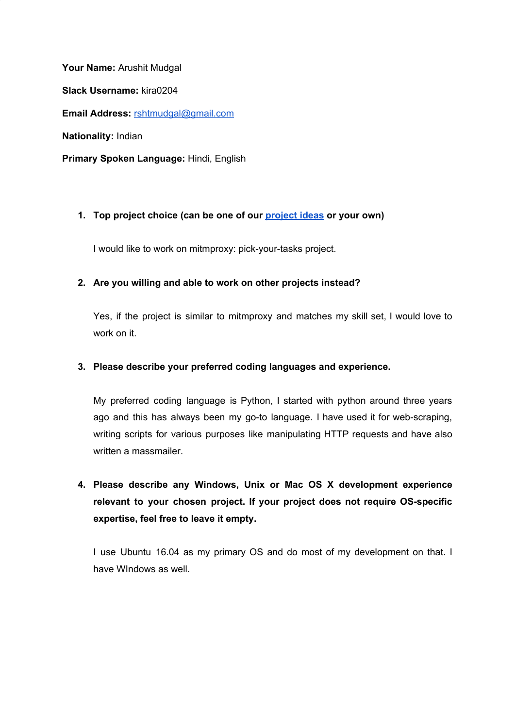**Your Name:** Arushit Mudgal **Slack Username:** kira0204 **Email Address:** [rshtmudgal@gmail.com](mailto:rshtmudgal@gmail.com) **Nationality:** Indian **Primary Spoken Language:** Hindi, English

## **1. Top project choice (can be one of our [project](https://honeynet.org/gsoc2018/ideas) ideas or your own)**

I would like to work on mitmproxy: pick-your-tasks project.

## **2. Are you willing and able to work on other projects instead?**

Yes, if the project is similar to mitmproxy and matches my skill set, I would love to work on it.

### **3. Please describe your preferred coding languages and experience.**

My preferred coding language is Python, I started with python around three years ago and this has always been my go-to language. I have used it for web-scraping, writing scripts for various purposes like manipulating HTTP requests and have also written a massmailer.

**4. Please describe any Windows, Unix or Mac OS X development experience relevant to your chosen project. If your project does not require OS-specific expertise, feel free to leave it empty.**

I use Ubuntu 16.04 as my primary OS and do most of my development on that. I have WIndows as well.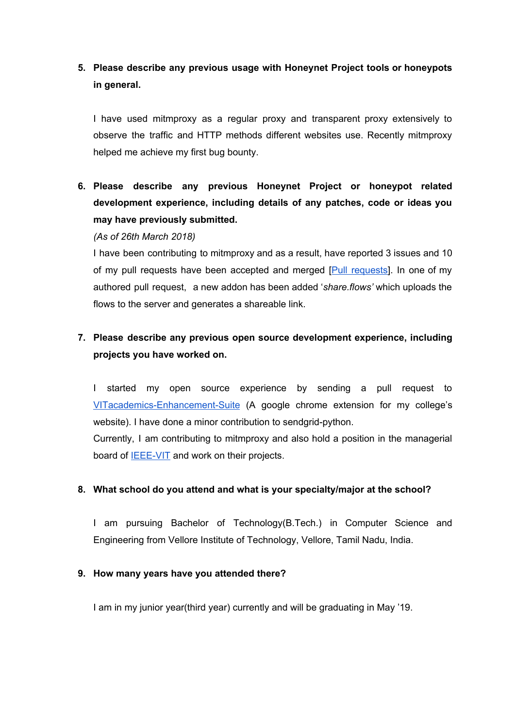# **5. Please describe any previous usage with Honeynet Project tools or honeypots in general.**

I have used mitmproxy as a regular proxy and transparent proxy extensively to observe the traffic and HTTP methods different websites use. Recently mitmproxy helped me achieve my first bug bounty.

**6. Please describe any previous Honeynet Project or honeypot related development experience, including details of any patches, code or ideas you may have previously submitted.**

#### *(As of 26th March 2018)*

I have been contributing to mitmproxy and as a result, have reported 3 issues and 10 of my pull requests have been accepted and merged [Pull [requests\]](https://github.com/mitmproxy/mitmproxy/pulls/kira0204). In one of my authored pull request, a new addon has been added '*share.flows'* which uploads the flows to the server and generates a shareable link.

# **7. Please describe any previous open source development experience, including projects you have worked on.**

I started my open source experience by sending a pull request to [VITacademics-Enhancement-Suite](https://github.com/rahulkapoor90/VITacademics-Enhancement-Suite) (A google chrome extension for my college's website). I have done a minor contribution to sendgrid-python.

Currently, I am contributing to mitmproxy and also hold a position in the managerial board of **[IEEE-VIT](https://github.com/IEEE-VIT)** and work on their projects.

## **8. What school do you attend and what is your specialty/major at the school?**

I am pursuing Bachelor of Technology(B.Tech.) in Computer Science and Engineering from Vellore Institute of Technology, Vellore, Tamil Nadu, India.

#### **9. How many years have you attended there?**

I am in my junior year(third year) currently and will be graduating in May '19.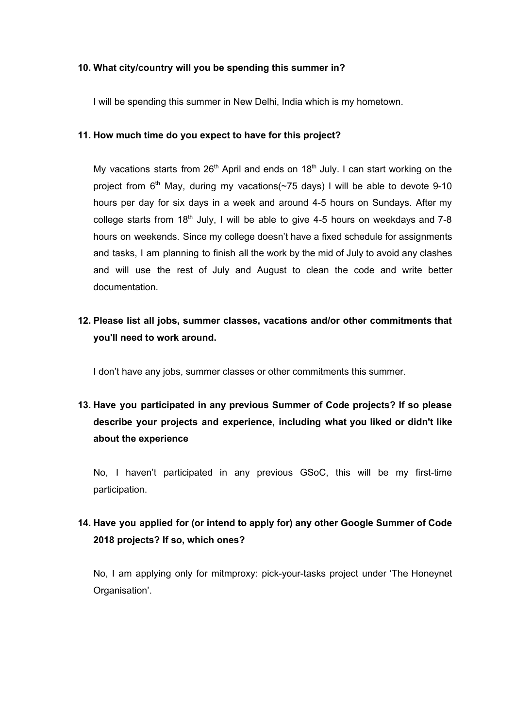#### **10. What city/country will you be spending this summer in?**

I will be spending this summer in New Delhi, India which is my hometown.

## **11. How much time do you expect to have for this project?**

My vacations starts from  $26<sup>th</sup>$  April and ends on 18<sup>th</sup> July. I can start working on the project from 6<sup>th</sup> May, during my vacations(~75 days) I will be able to devote 9-10 hours per day for six days in a week and around 4-5 hours on Sundays. After my college starts from  $18<sup>th</sup>$  July, I will be able to give 4-5 hours on weekdays and 7-8 hours on weekends. Since my college doesn't have a fixed schedule for assignments and tasks, I am planning to finish all the work by the mid of July to avoid any clashes and will use the rest of July and August to clean the code and write better documentation.

# **12. Please list all jobs, summer classes, vacations and/or other commitments that you'll need to work around.**

I don't have any jobs, summer classes or other commitments this summer.

# **13. Have you participated in any previous Summer of Code projects? If so please describe your projects and experience, including what you liked or didn't like about the experience**

No, I haven't participated in any previous GSoC, this will be my first-time participation.

# **14. Have you applied for (or intend to apply for) any other Google Summer of Code 2018 projects? If so, which ones?**

No, I am applying only for mitmproxy: pick-your-tasks project under 'The Honeynet Organisation'.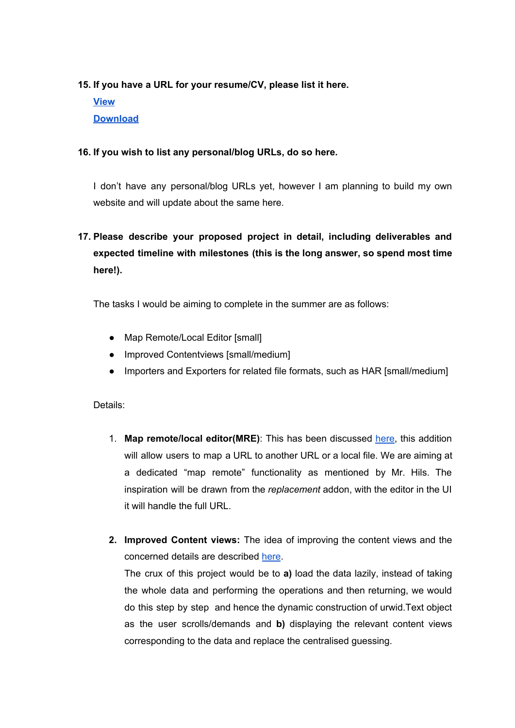## **15. If you have a URL for your resume/CV, please list it here.**

**[View](https://github.com/kira0204/resume-tex/blob/master/Resume.pdf) [Download](https://github.com/kira0204/resume-tex/raw/master/Resume.pdf)**

## **16. If you wish to list any personal/blog URLs, do so here.**

I don't have any personal/blog URLs yet, however I am planning to build my own website and will update about the same here.

# **17. Please describe your proposed project in detail, including deliverables and expected timeline with milestones (this is the long answer, so spend most time here!).**

The tasks I would be aiming to complete in the summer are as follows:

- Map Remote/Local Editor [small]
- Improved Contentviews [small/medium]
- Importers and Exporters for related file formats, such as HAR [small/medium]

Details:

- 1. **Map remote/local editor(MRE)**: This has been discussed [here,](https://github.com/mitmproxy/mitmproxy/issues/1454) this addition will allow users to map a URL to another URL or a local file. We are aiming at a dedicated "map remote" functionality as mentioned by Mr. Hils. The inspiration will be drawn from the *replacement* addon, with the editor in the UI it will handle the full URL.
- **2. Improved Content views:** The idea of improving the content views and the concerned details are described [here](https://github.com/mitmproxy/mitmproxy/issues/1662).

The crux of this project would be to **a)** load the data lazily, instead of taking the whole data and performing the operations and then returning, we would do this step by step and hence the dynamic construction of urwid.Text object as the user scrolls/demands and **b)** displaying the relevant content views corresponding to the data and replace the centralised guessing.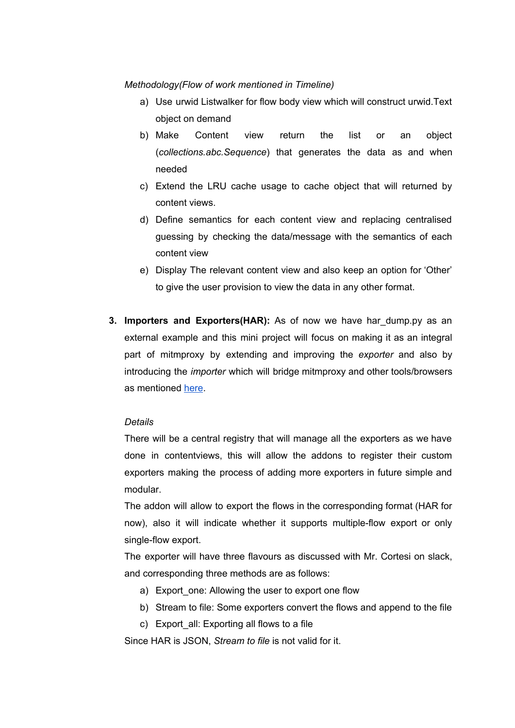*Methodology(Flow of work mentioned in Timeline)*

- a) Use urwid Listwalker for flow body view which will construct urwid.Text object on demand
- b) Make Content view return the list or an object (*collections.abc.Sequence*) that generates the data as and when needed
- c) Extend the LRU cache usage to cache object that will returned by content views.
- d) Define semantics for each content view and replacing centralised guessing by checking the data/message with the semantics of each content view
- e) Display The relevant content view and also keep an option for 'Other' to give the user provision to view the data in any other format.
- **3. Importers and Exporters(HAR):** As of now we have har\_dump.py as an external example and this mini project will focus on making it as an integral part of mitmproxy by extending and improving the *exporter* and also by introducing the *importer* which will bridge mitmproxy and other tools/browsers as mentioned [here](https://github.com/mitmproxy/mitmproxy/issues/1477).

#### *Details*

There will be a central registry that will manage all the exporters as we have done in contentviews, this will allow the addons to register their custom exporters making the process of adding more exporters in future simple and modular.

The addon will allow to export the flows in the corresponding format (HAR for now), also it will indicate whether it supports multiple-flow export or only single-flow export.

The exporter will have three flavours as discussed with Mr. Cortesi on slack, and corresponding three methods are as follows:

- a) Export one: Allowing the user to export one flow
- b) Stream to file: Some exporters convert the flows and append to the file
- c) Export\_all: Exporting all flows to a file

Since HAR is JSON, *Stream to file* is not valid for it.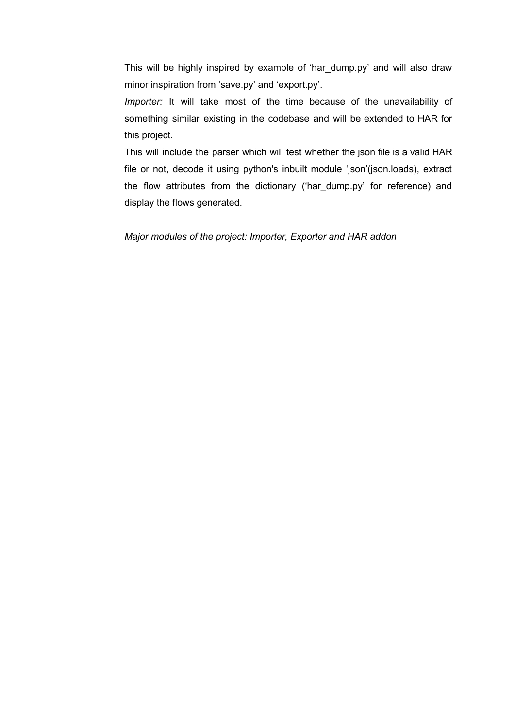This will be highly inspired by example of 'har\_dump.py' and will also draw minor inspiration from 'save.py' and 'export.py'.

*Importer:* It will take most of the time because of the unavailability of something similar existing in the codebase and will be extended to HAR for this project.

This will include the parser which will test whether the json file is a valid HAR file or not, decode it using python's inbuilt module 'json'(json.loads), extract the flow attributes from the dictionary ('har\_dump.py' for reference) and display the flows generated.

*Major modules of the project: Importer, Exporter and HAR addon*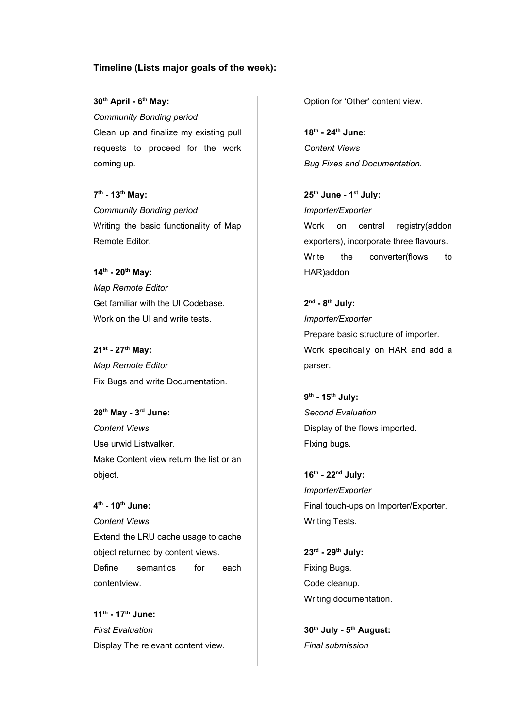#### **Timeline (Lists major goals of the week):**

**30 th April - 6 th May:** *Community Bonding period* Clean up and finalize my existing pull requests to proceed for the work coming up.

**7 th - 13 th May:** *Community Bonding period* Writing the basic functionality of Map Remote Editor.

**14 th - 20 th May:** *Map Remote Editor* Get familiar with the UI Codebase. Work on the UI and write tests.

**21 st - 27 th May:** *Map Remote Editor* Fix Bugs and write Documentation.

**28 th May - 3 rd June:** *Content Views* Use urwid Listwalker. Make Content view return the list or an object.

**4 th - 10 th June:** *Content Views* Extend the LRU cache usage to cache object returned by content views. Define semantics for each contentview.

**11 th - 17 th June:** *First Evaluation* Display The relevant content view. Option for 'Other' content view.

**18 th - 24 th June:** *Content Views Bug Fixes and Documentation.*

**25 th June - 1 st July:** *Importer/Exporter* Work on central registry(addon exporters), incorporate three flavours. Write the converter(flows to HAR)addon

**2 nd - 8 th July:** *Importer/Exporter* Prepare basic structure of importer. Work specifically on HAR and add a parser.

**9 th - 15 th July:** *Second Evaluation* Display of the flows imported. FIxing bugs.

**16 th - 22 nd July:** *Importer/Exporter* Final touch-ups on Importer/Exporter. Writing Tests.

**23 rd - 29 th July:** Fixing Bugs. Code cleanup. Writing documentation.

**30 th July - 5 th August:** *Final submission*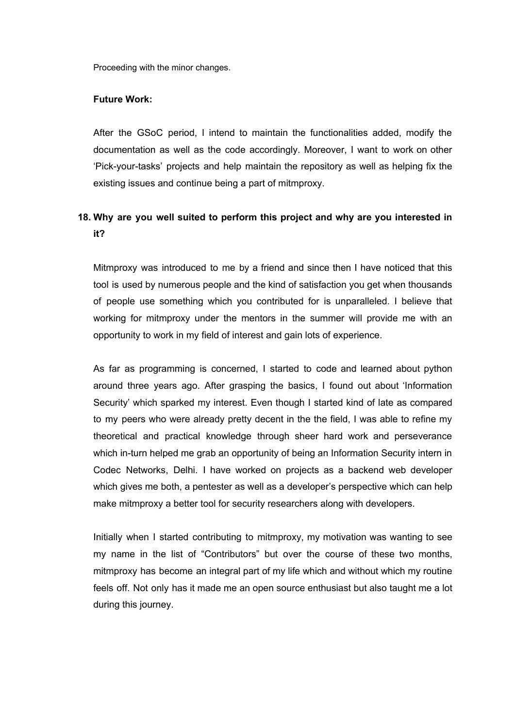Proceeding with the minor changes.

#### **Future Work:**

After the GSoC period, I intend to maintain the functionalities added, modify the documentation as well as the code accordingly. Moreover, I want to work on other 'Pick-your-tasks' projects and help maintain the repository as well as helping fix the existing issues and continue being a part of mitmproxy.

## **18. Why are you well suited to perform this project and why are you interested in it?**

Mitmproxy was introduced to me by a friend and since then I have noticed that this tool is used by numerous people and the kind of satisfaction you get when thousands of people use something which you contributed for is unparalleled. I believe that working for mitmproxy under the mentors in the summer will provide me with an opportunity to work in my field of interest and gain lots of experience.

As far as programming is concerned, I started to code and learned about python around three years ago. After grasping the basics, I found out about 'Information Security' which sparked my interest. Even though I started kind of late as compared to my peers who were already pretty decent in the the field, I was able to refine my theoretical and practical knowledge through sheer hard work and perseverance which in-turn helped me grab an opportunity of being an Information Security intern in Codec Networks, Delhi. I have worked on projects as a backend web developer which gives me both, a pentester as well as a developer's perspective which can help make mitmproxy a better tool for security researchers along with developers.

Initially when I started contributing to mitmproxy, my motivation was wanting to see my name in the list of "Contributors" but over the course of these two months, mitmproxy has become an integral part of my life which and without which my routine feels off. Not only has it made me an open source enthusiast but also taught me a lot during this journey.